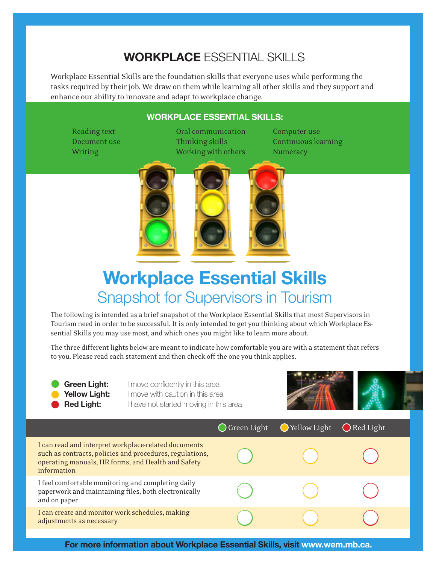## **Workplace** Essential Skills

Workplace Essential Skills are the foundation skills that everyone uses while performing the tasks required by their job. We draw on them while learning all other skills and they support and enhance our ability to innovate and adapt to workplace change.

## **Workplace Essential Skills:**

Reading text **Communication** Computer use Document use Thinking skills Continuous learning Writing Working Working with others Numeracy



## **Workplace Essential Skills**  Snapshot for Supervisors in Tourism

The following is intended as a brief snapshot of the Workplace Essential Skills that most Supervisors in Tourism need in order to be successful. It is only intended to get you thinking about which Workplace Essential Skills you may use most, and which ones you might like to learn more about.

The three different lights below are meant to indicate how comfortable you are with a statement that refers to you. Please read each statement and then check off the one you think applies.

**Green Light:** I move confidently in this area **Yellow Light:** I move with caution in this area **Red Light:** I have not started moving in this area



|                                                                                                                                                                                       | $\bigcirc$ Green Light | $\bigcirc$ Yellow Light | $\bigcirc$ Red Light |
|---------------------------------------------------------------------------------------------------------------------------------------------------------------------------------------|------------------------|-------------------------|----------------------|
| I can read and interpret workplace-related documents<br>such as contracts, policies and procedures, regulations,<br>operating manuals, HR forms, and Health and Safety<br>information |                        |                         |                      |
| I feel comfortable monitoring and completing daily<br>paperwork and maintaining files, both electronically<br>and on paper                                                            |                        |                         |                      |
| I can create and monitor work schedules, making<br>adjustments as necessary                                                                                                           |                        |                         |                      |
|                                                                                                                                                                                       |                        |                         |                      |

**For more information about Workplace Essential Skills, visit www.wem.mb.ca.**